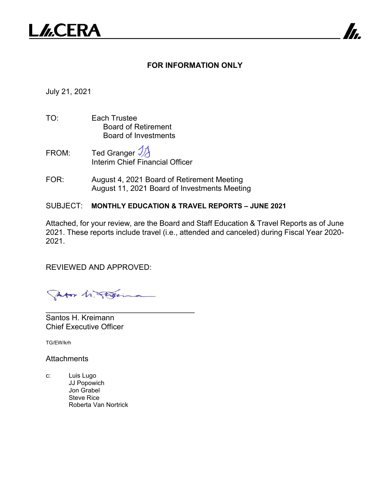

### **FOR INFORMATION ONLY**

7

July 21, 2021

- TO: Each Trustee Board of Retirement Board of Investments
- FROM: Ted Granger  $\mathcal{Y}_{\mathcal{A}}$ Interim Chief Financial Officer
- FOR: August 4, 2021 Board of Retirement Meeting August 11, 2021 Board of Investments Meeting

### SUBJECT: **MONTHLY EDUCATION & TRAVEL REPORTS – JUNE 2021**

Attached, for your review, are the Board and Staff Education & Travel Reports as of June 2021. These reports include travel (i.e., attended and canceled) during Fiscal Year 2020- 2021.

REVIEWED AND APPROVED:

Jator M. Their

\_\_\_\_\_\_\_\_\_\_\_\_\_\_\_\_\_\_\_\_\_\_\_\_\_\_\_\_\_\_\_\_\_\_\_ Santos H. Kreimann Chief Executive Officer

TG/EW/krh

**Attachments** 

c: Luis Lugo JJ Popowich Jon Grabel Steve Rice Roberta Van Nortrick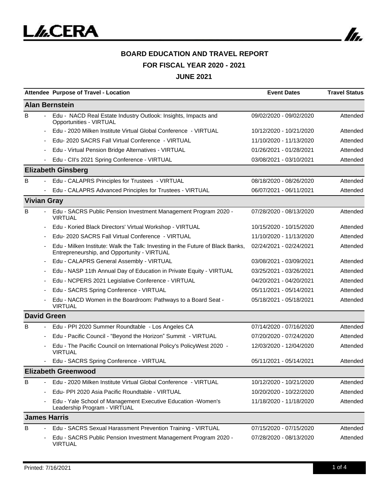

# **BOARD EDUCATION AND TRAVEL REPORT FOR FISCAL YEAR 2020 - 2021**

|                               | Attendee Purpose of Travel - Location                                                                                         | <b>Event Dates</b>      | <b>Travel Status</b> |  |  |  |
|-------------------------------|-------------------------------------------------------------------------------------------------------------------------------|-------------------------|----------------------|--|--|--|
| <b>Alan Bernstein</b>         |                                                                                                                               |                         |                      |  |  |  |
| B                             | Edu - NACD Real Estate Industry Outlook: Insights, Impacts and<br>Opportunities - VIRTUAL                                     | 09/02/2020 - 09/02/2020 | Attended             |  |  |  |
|                               | Edu - 2020 Milken Institute Virtual Global Conference - VIRTUAL                                                               | 10/12/2020 - 10/21/2020 | Attended             |  |  |  |
|                               | Edu- 2020 SACRS Fall Virtual Conference - VIRTUAL                                                                             | 11/10/2020 - 11/13/2020 | Attended             |  |  |  |
|                               | Edu - Virtual Pension Bridge Alternatives - VIRTUAL                                                                           | 01/26/2021 - 01/28/2021 | Attended             |  |  |  |
|                               | Edu - CII's 2021 Spring Conference - VIRTUAL                                                                                  | 03/08/2021 - 03/10/2021 | Attended             |  |  |  |
|                               | <b>Elizabeth Ginsberg</b>                                                                                                     |                         |                      |  |  |  |
| B                             | Edu - CALAPRS Principles for Trustees - VIRTUAL                                                                               | 08/18/2020 - 08/26/2020 | Attended             |  |  |  |
|                               | Edu - CALAPRS Advanced Principles for Trustees - VIRTUAL                                                                      | 06/07/2021 - 06/11/2021 | Attended             |  |  |  |
| <b>Vivian Gray</b>            |                                                                                                                               |                         |                      |  |  |  |
| B                             | Edu - SACRS Public Pension Investment Management Program 2020 -<br><b>VIRTUAL</b>                                             | 07/28/2020 - 08/13/2020 | Attended             |  |  |  |
|                               | Edu - Koried Black Directors' Virtual Workshop - VIRTUAL                                                                      | 10/15/2020 - 10/15/2020 | Attended             |  |  |  |
|                               | Edu- 2020 SACRS Fall Virtual Conference - VIRTUAL                                                                             | 11/10/2020 - 11/13/2020 | Attended             |  |  |  |
|                               | Edu - Milken Institute: Walk the Talk: Investing in the Future of Black Banks,<br>Entrepreneurship, and Opportunity - VIRTUAL | 02/24/2021 - 02/24/2021 | Attended             |  |  |  |
|                               | Edu - CALAPRS General Assembly - VIRTUAL                                                                                      | 03/08/2021 - 03/09/2021 | Attended             |  |  |  |
|                               | Edu - NASP 11th Annual Day of Education in Private Equity - VIRTUAL                                                           | 03/25/2021 - 03/26/2021 | Attended             |  |  |  |
|                               | Edu - NCPERS 2021 Legislative Conference - VIRTUAL                                                                            | 04/20/2021 - 04/20/2021 | Attended             |  |  |  |
|                               | Edu - SACRS Spring Conference - VIRTUAL                                                                                       | 05/11/2021 - 05/14/2021 | Attended             |  |  |  |
|                               | Edu - NACD Women in the Boardroom: Pathways to a Board Seat -<br><b>VIRTUAL</b>                                               | 05/18/2021 - 05/18/2021 | Attended             |  |  |  |
| <b>David Green</b>            |                                                                                                                               |                         |                      |  |  |  |
| B<br>$\overline{\phantom{a}}$ | Edu - PPI 2020 Summer Roundtable - Los Angeles CA                                                                             | 07/14/2020 - 07/16/2020 | Attended             |  |  |  |
|                               | Edu - Pacific Council - "Beyond the Horizon" Summit - VIRTUAL                                                                 | 07/20/2020 - 07/24/2020 | Attended             |  |  |  |
|                               | Edu - The Pacific Council on International Policy's PolicyWest 2020 -<br><b>VIRTUAL</b>                                       | 12/03/2020 - 12/04/2020 | Attended             |  |  |  |
|                               | Edu - SACRS Spring Conference - VIRTUAL                                                                                       | 05/11/2021 - 05/14/2021 | Attended             |  |  |  |
|                               | <b>Elizabeth Greenwood</b>                                                                                                    |                         |                      |  |  |  |
| B                             | Edu - 2020 Milken Institute Virtual Global Conference - VIRTUAL                                                               | 10/12/2020 - 10/21/2020 | Attended             |  |  |  |
|                               | Edu- PPI 2020 Asia Pacific Roundtable - VIRTUAL                                                                               | 10/20/2020 - 10/22/2020 | Attended             |  |  |  |
|                               | Edu - Yale School of Management Executive Education - Women's<br>Leadership Program - VIRTUAL                                 | 11/18/2020 - 11/18/2020 | Attended             |  |  |  |
| <b>James Harris</b>           |                                                                                                                               |                         |                      |  |  |  |
| в                             | Edu - SACRS Sexual Harassment Prevention Training - VIRTUAL                                                                   | 07/15/2020 - 07/15/2020 | Attended             |  |  |  |
|                               | Edu - SACRS Public Pension Investment Management Program 2020 -<br><b>VIRTUAL</b>                                             | 07/28/2020 - 08/13/2020 | Attended             |  |  |  |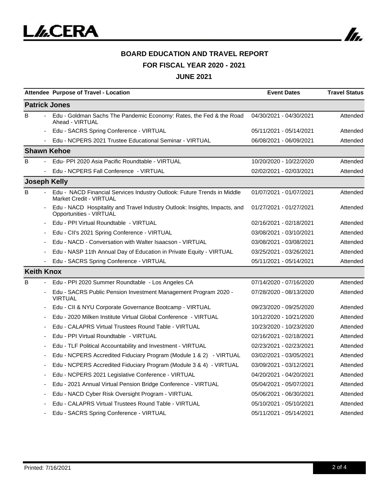

# **BOARD EDUCATION AND TRAVEL REPORT**

**FOR FISCAL YEAR 2020 - 2021**

|                              | <b>Attendee Purpose of Travel - Location</b>                                                              | <b>Event Dates</b>      | <b>Travel Status</b> |
|------------------------------|-----------------------------------------------------------------------------------------------------------|-------------------------|----------------------|
| <b>Patrick Jones</b>         |                                                                                                           |                         |                      |
| в                            | Edu - Goldman Sachs The Pandemic Economy: Rates, the Fed & the Road<br>Ahead - VIRTUAL                    | 04/30/2021 - 04/30/2021 | Attended             |
|                              | Edu - SACRS Spring Conference - VIRTUAL                                                                   | 05/11/2021 - 05/14/2021 | Attended             |
|                              | Edu - NCPERS 2021 Trustee Educational Seminar - VIRTUAL                                                   | 06/08/2021 - 06/09/2021 | Attended             |
| <b>Shawn Kehoe</b>           |                                                                                                           |                         |                      |
| в                            | Edu- PPI 2020 Asia Pacific Roundtable - VIRTUAL                                                           | 10/20/2020 - 10/22/2020 | Attended             |
|                              | Edu - NCPERS Fall Conference - VIRTUAL                                                                    | 02/02/2021 - 02/03/2021 | Attended             |
| <b>Joseph Kelly</b>          |                                                                                                           |                         |                      |
| в                            | Edu - NACD Financial Services Industry Outlook: Future Trends in Middle<br><b>Market Credit - VIRTUAL</b> | 01/07/2021 - 01/07/2021 | Attended             |
|                              | Edu - NACD Hospitality and Travel Industry Outlook: Insights, Impacts, and<br>Opportunities - VIRTUAL     | 01/27/2021 - 01/27/2021 | Attended             |
|                              | Edu - PPI Virtual Roundtable - VIRTUAL                                                                    | 02/16/2021 - 02/18/2021 | Attended             |
|                              | Edu - CII's 2021 Spring Conference - VIRTUAL                                                              | 03/08/2021 - 03/10/2021 | Attended             |
|                              | Edu - NACD - Conversation with Walter Isaacson - VIRTUAL                                                  | 03/08/2021 - 03/08/2021 | Attended             |
|                              | Edu - NASP 11th Annual Day of Education in Private Equity - VIRTUAL                                       | 03/25/2021 - 03/26/2021 | Attended             |
| $\overline{\phantom{a}}$     | Edu - SACRS Spring Conference - VIRTUAL                                                                   | 05/11/2021 - 05/14/2021 | Attended             |
| <b>Keith Knox</b>            |                                                                                                           |                         |                      |
| в                            | Edu - PPI 2020 Summer Roundtable - Los Angeles CA                                                         | 07/14/2020 - 07/16/2020 | Attended             |
| $\qquad \qquad \blacksquare$ | Edu - SACRS Public Pension Investment Management Program 2020 -<br><b>VIRTUAL</b>                         | 07/28/2020 - 08/13/2020 | Attended             |
|                              | Edu - CII & NYU Corporate Governance Bootcamp - VIRTUAL                                                   | 09/23/2020 - 09/25/2020 | Attended             |
|                              | Edu - 2020 Milken Institute Virtual Global Conference - VIRTUAL                                           | 10/12/2020 - 10/21/2020 | Attended             |
|                              | Edu - CALAPRS Virtual Trustees Round Table - VIRTUAL                                                      | 10/23/2020 - 10/23/2020 | Attended             |
| $\overline{\phantom{a}}$     | Edu - PPI Virtual Roundtable - VIRTUAL                                                                    | 02/16/2021 - 02/18/2021 | Attended             |
|                              | Edu - TLF Political Accountability and Investment - VIRTUAL                                               | 02/23/2021 - 02/23/2021 | Attended             |
|                              | Edu - NCPERS Accredited Fiduciary Program (Module 1 & 2) - VIRTUAL                                        | 03/02/2021 - 03/05/2021 | Attended             |
| $\overline{a}$               | Edu - NCPERS Accredited Fiduciary Program (Module 3 & 4) - VIRTUAL                                        | 03/09/2021 - 03/12/2021 | Attended             |
| $\overline{a}$               | Edu - NCPERS 2021 Legislative Conference - VIRTUAL                                                        | 04/20/2021 - 04/20/2021 | Attended             |
| $\overline{a}$               | Edu - 2021 Annual Virtual Pension Bridge Conference - VIRTUAL                                             | 05/04/2021 - 05/07/2021 | Attended             |
|                              | Edu - NACD Cyber Risk Oversight Program - VIRTUAL                                                         | 05/06/2021 - 06/30/2021 | Attended             |
|                              | Edu - CALAPRS Virtual Trustees Round Table - VIRTUAL                                                      | 05/10/2021 - 05/10/2021 | Attended             |
|                              | Edu - SACRS Spring Conference - VIRTUAL                                                                   | 05/11/2021 - 05/14/2021 | Attended             |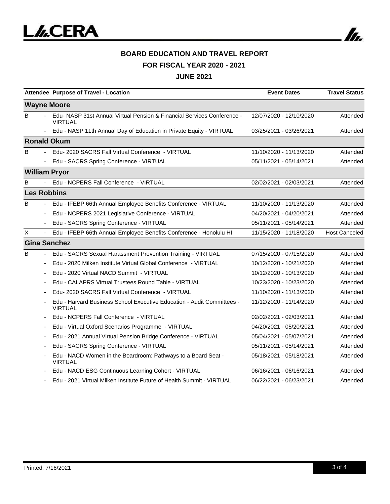

### **BOARD EDUCATION AND TRAVEL REPORT FOR FISCAL YEAR 2020 - 2021**

|                               | Attendee Purpose of Travel - Location                                                     | <b>Event Dates</b>      | <b>Travel Status</b> |  |  |
|-------------------------------|-------------------------------------------------------------------------------------------|-------------------------|----------------------|--|--|
| <b>Wayne Moore</b>            |                                                                                           |                         |                      |  |  |
| B                             | Edu- NASP 31st Annual Virtual Pension & Financial Services Conference -<br><b>VIRTUAL</b> | 12/07/2020 - 12/10/2020 | Attended             |  |  |
| $\blacksquare$                | Edu - NASP 11th Annual Day of Education in Private Equity - VIRTUAL                       | 03/25/2021 - 03/26/2021 | Attended             |  |  |
| <b>Ronald Okum</b>            |                                                                                           |                         |                      |  |  |
| B                             | Edu-2020 SACRS Fall Virtual Conference - VIRTUAL                                          | 11/10/2020 - 11/13/2020 | Attended             |  |  |
|                               | Edu - SACRS Spring Conference - VIRTUAL                                                   | 05/11/2021 - 05/14/2021 | Attended             |  |  |
| <b>William Pryor</b>          |                                                                                           |                         |                      |  |  |
| B                             | Edu - NCPERS Fall Conference - VIRTUAL                                                    | 02/02/2021 - 02/03/2021 | Attended             |  |  |
| <b>Les Robbins</b>            |                                                                                           |                         |                      |  |  |
| B<br>$\overline{\phantom{a}}$ | Edu - IFEBP 66th Annual Employee Benefits Conference - VIRTUAL                            | 11/10/2020 - 11/13/2020 | Attended             |  |  |
|                               | Edu - NCPERS 2021 Legislative Conference - VIRTUAL                                        | 04/20/2021 - 04/20/2021 | Attended             |  |  |
|                               | Edu - SACRS Spring Conference - VIRTUAL                                                   | 05/11/2021 - 05/14/2021 | Attended             |  |  |
| X<br>$\blacksquare$           | Edu - IFEBP 66th Annual Employee Benefits Conference - Honolulu HI                        | 11/15/2020 - 11/18/2020 | <b>Host Canceled</b> |  |  |
| <b>Gina Sanchez</b>           |                                                                                           |                         |                      |  |  |
| B<br>$\overline{\phantom{a}}$ | Edu - SACRS Sexual Harassment Prevention Training - VIRTUAL                               | 07/15/2020 - 07/15/2020 | Attended             |  |  |
| $\overline{\phantom{a}}$      | Edu - 2020 Milken Institute Virtual Global Conference - VIRTUAL                           | 10/12/2020 - 10/21/2020 | Attended             |  |  |
|                               | Edu - 2020 Virtual NACD Summit - VIRTUAL                                                  | 10/12/2020 - 10/13/2020 | Attended             |  |  |
|                               | Edu - CALAPRS Virtual Trustees Round Table - VIRTUAL                                      | 10/23/2020 - 10/23/2020 | Attended             |  |  |
|                               | Edu- 2020 SACRS Fall Virtual Conference - VIRTUAL                                         | 11/10/2020 - 11/13/2020 | Attended             |  |  |
|                               | Edu - Harvard Business School Executive Education - Audit Committees -<br><b>VIRTUAL</b>  | 11/12/2020 - 11/14/2020 | Attended             |  |  |
|                               | Edu - NCPERS Fall Conference - VIRTUAL                                                    | 02/02/2021 - 02/03/2021 | Attended             |  |  |
| $\overline{\phantom{a}}$      | Edu - Virtual Oxford Scenarios Programme - VIRTUAL                                        | 04/20/2021 - 05/20/2021 | Attended             |  |  |
|                               | Edu - 2021 Annual Virtual Pension Bridge Conference - VIRTUAL                             | 05/04/2021 - 05/07/2021 | Attended             |  |  |
|                               | Edu - SACRS Spring Conference - VIRTUAL                                                   | 05/11/2021 - 05/14/2021 | Attended             |  |  |
|                               | Edu - NACD Women in the Boardroom: Pathways to a Board Seat -<br><b>VIRTUAL</b>           | 05/18/2021 - 05/18/2021 | Attended             |  |  |
|                               | Edu - NACD ESG Continuous Learning Cohort - VIRTUAL                                       | 06/16/2021 - 06/16/2021 | Attended             |  |  |
|                               | Edu - 2021 Virtual Milken Institute Future of Health Summit - VIRTUAL                     | 06/22/2021 - 06/23/2021 | Attended             |  |  |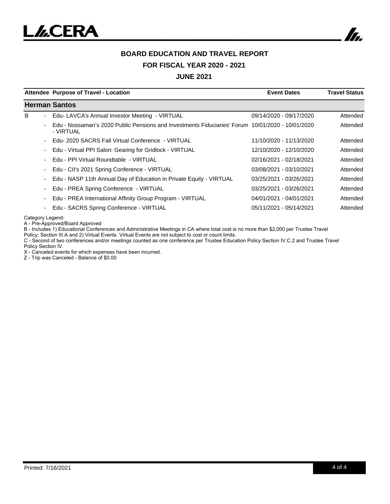

## **BOARD EDUCATION AND TRAVEL REPORT FOR FISCAL YEAR 2020 - 2021**

#### **JUNE 2021**

|                          | Attendee Purpose of Travel - Location                                                                         | <b>Event Dates</b>      | <b>Travel Status</b> |
|--------------------------|---------------------------------------------------------------------------------------------------------------|-------------------------|----------------------|
| <b>Herman Santos</b>     |                                                                                                               |                         |                      |
| B                        | - Edu- LAVCA's Annual Investor Meeting - VIRTUAL                                                              | 09/14/2020 - 09/17/2020 | Attended             |
| $\blacksquare$           | Edu - Nossaman's 2020 Public Pensions and Investments Fiduciaries' Forum 10/01/2020 - 10/01/2020<br>- VIRTUAL |                         | Attended             |
| $\overline{\phantom{a}}$ | Edu- 2020 SACRS Fall Virtual Conference - VIRTUAL                                                             | 11/10/2020 - 11/13/2020 | Attended             |
| ۰                        | Edu - Virtual PPI Salon: Gearing for Gridlock - VIRTUAL                                                       | 12/10/2020 - 12/10/2020 | Attended             |
| $\sim$                   | Edu - PPI Virtual Roundtable - VIRTUAL                                                                        | 02/16/2021 - 02/18/2021 | Attended             |
| ۰                        | Edu - CII's 2021 Spring Conference - VIRTUAL                                                                  | 03/08/2021 - 03/10/2021 | Attended             |
| $\blacksquare$           | Edu - NASP 11th Annual Day of Education in Private Equity - VIRTUAL                                           | 03/25/2021 - 03/26/2021 | Attended             |
| $\blacksquare$           | Edu - PREA Spring Conference - VIRTUAL                                                                        | 03/25/2021 - 03/26/2021 | Attended             |
| $\overline{\phantom{a}}$ | Edu - PREA International Affinity Group Program - VIRTUAL                                                     | 04/01/2021 - 04/01/2021 | Attended             |
| $\overline{\phantom{a}}$ | Edu - SACRS Spring Conference - VIRTUAL                                                                       | 05/11/2021 - 05/14/2021 | Attended             |

Category Legend:

A - Pre-Approved/Board Approved

B - Includes 1) Educational Conferences and Administrative Meetings in CA where total cost is no more than \$2,000 per Trustee Travel Policy; Section III.A and 2) Virtual Events. Virtual Events are not subject to cost or count limits.

C - Second of two conferences and/or meetings counted as one conference per Trustee Education Policy Section IV.C.2 and Trustee Travel Policy Section IV.

X - Canceled events for which expenses have been incurred.

Z - Trip was Canceled - Balance of \$0.00